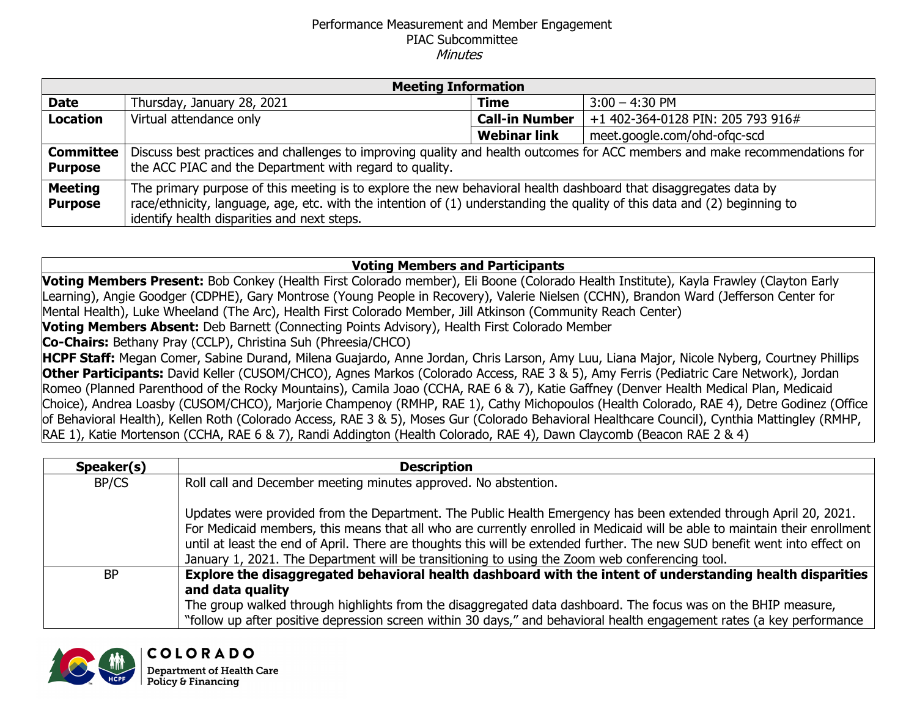## Performance Measurement and Member Engagement PIAC Subcommittee **Minutes**

| <b>Meeting Information</b>         |                                                                                                                                                                                                                                                                                              |                       |                                   |  |
|------------------------------------|----------------------------------------------------------------------------------------------------------------------------------------------------------------------------------------------------------------------------------------------------------------------------------------------|-----------------------|-----------------------------------|--|
| <b>Date</b>                        | Thursday, January 28, 2021                                                                                                                                                                                                                                                                   | <b>Time</b>           | $3:00 - 4:30$ PM                  |  |
| <b>Location</b>                    | Virtual attendance only                                                                                                                                                                                                                                                                      | <b>Call-in Number</b> | +1 402-364-0128 PIN: 205 793 916# |  |
|                                    |                                                                                                                                                                                                                                                                                              | <b>Webinar link</b>   | meet.google.com/ohd-ofgc-scd      |  |
| <b>Committee</b><br><b>Purpose</b> | Discuss best practices and challenges to improving quality and health outcomes for ACC members and make recommendations for<br>the ACC PIAC and the Department with regard to quality.                                                                                                       |                       |                                   |  |
| <b>Meeting</b><br><b>Purpose</b>   | The primary purpose of this meeting is to explore the new behavioral health dashboard that disaggregates data by<br>race/ethnicity, language, age, etc. with the intention of (1) understanding the quality of this data and (2) beginning to<br>identify health disparities and next steps. |                       |                                   |  |

## **Voting Members and Participants**

**Voting Members Present:** Bob Conkey (Health First Colorado member), Eli Boone (Colorado Health Institute), Kayla Frawley (Clayton Early Learning), Angie Goodger (CDPHE), Gary Montrose (Young People in Recovery), Valerie Nielsen (CCHN), Brandon Ward (Jefferson Center for Mental Health), Luke Wheeland (The Arc), Health First Colorado Member, Jill Atkinson (Community Reach Center)

**Voting Members Absent:** Deb Barnett (Connecting Points Advisory), Health First Colorado Member

**Co-Chairs:** Bethany Pray (CCLP), Christina Suh (Phreesia/CHCO)

**HCPF Staff:** Megan Comer, Sabine Durand, Milena Guajardo, Anne Jordan, Chris Larson, Amy Luu, Liana Major, Nicole Nyberg, Courtney Phillips **Other Participants:** David Keller (CUSOM/CHCO), Agnes Markos (Colorado Access, RAE 3 & 5), Amy Ferris (Pediatric Care Network), Jordan Romeo (Planned Parenthood of the Rocky Mountains), Camila Joao (CCHA, RAE 6 & 7), Katie Gaffney (Denver Health Medical Plan, Medicaid Choice), Andrea Loasby (CUSOM/CHCO), Marjorie Champenoy (RMHP, RAE 1), Cathy Michopoulos (Health Colorado, RAE 4), Detre Godinez (Office of Behavioral Health), Kellen Roth (Colorado Access, RAE 3 & 5), Moses Gur (Colorado Behavioral Healthcare Council), Cynthia Mattingley (RMHP, RAE 1), Katie Mortenson (CCHA, RAE 6 & 7), Randi Addington (Health Colorado, RAE 4), Dawn Claycomb (Beacon RAE 2 & 4)

| Speaker(s) | <b>Description</b>                                                                                                                                                                                                                                                                                                                                                                                                                                                             |
|------------|--------------------------------------------------------------------------------------------------------------------------------------------------------------------------------------------------------------------------------------------------------------------------------------------------------------------------------------------------------------------------------------------------------------------------------------------------------------------------------|
| BP/CS      | Roll call and December meeting minutes approved. No abstention.                                                                                                                                                                                                                                                                                                                                                                                                                |
|            | Updates were provided from the Department. The Public Health Emergency has been extended through April 20, 2021.<br>For Medicaid members, this means that all who are currently enrolled in Medicaid will be able to maintain their enrollment<br>until at least the end of April. There are thoughts this will be extended further. The new SUD benefit went into effect on<br>January 1, 2021. The Department will be transitioning to using the Zoom web conferencing tool. |
| <b>BP</b>  | Explore the disaggregated behavioral health dashboard with the intent of understanding health disparities<br>and data quality<br>The group walked through highlights from the disaggregated data dashboard. The focus was on the BHIP measure,<br>"follow up after positive depression screen within 30 days," and behavioral health engagement rates (a key performance                                                                                                       |

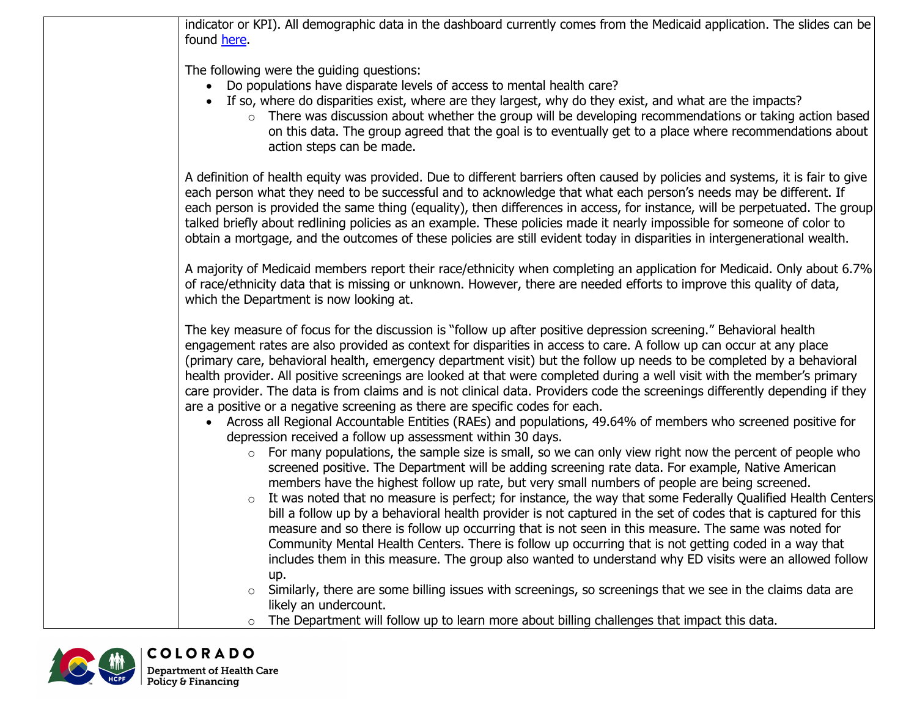indicator or KPI). All demographic data in the dashboard currently comes from the Medicaid application. The slides can be found [here.](https://www.colorado.gov/pacific/sites/default/files/Accountable%20Care%20Collaborative%20Performance%20Measurement%20and%20Memeber%20Engagement%20PIAC%20Subcommittee%20PowerPoint%20January%202021.docx.pdf)

The following were the guiding questions:

- Do populations have disparate levels of access to mental health care?
- If so, where do disparities exist, where are they largest, why do they exist, and what are the impacts?
	- o There was discussion about whether the group will be developing recommendations or taking action based on this data. The group agreed that the goal is to eventually get to a place where recommendations about action steps can be made.

A definition of health equity was provided. Due to different barriers often caused by policies and systems, it is fair to give each person what they need to be successful and to acknowledge that what each person's needs may be different. If each person is provided the same thing (equality), then differences in access, for instance, will be perpetuated. The group talked briefly about redlining policies as an example. These policies made it nearly impossible for someone of color to obtain a mortgage, and the outcomes of these policies are still evident today in disparities in intergenerational wealth.

A majority of Medicaid members report their race/ethnicity when completing an application for Medicaid. Only about 6.7% of race/ethnicity data that is missing or unknown. However, there are needed efforts to improve this quality of data, which the Department is now looking at.

The key measure of focus for the discussion is "follow up after positive depression screening." Behavioral health engagement rates are also provided as context for disparities in access to care. A follow up can occur at any place (primary care, behavioral health, emergency department visit) but the follow up needs to be completed by a behavioral health provider. All positive screenings are looked at that were completed during a well visit with the member's primary care provider. The data is from claims and is not clinical data. Providers code the screenings differently depending if they are a positive or a negative screening as there are specific codes for each.

- Across all Regional Accountable Entities (RAEs) and populations, 49.64% of members who screened positive for depression received a follow up assessment within 30 days.
	- $\circ$  For many populations, the sample size is small, so we can only view right now the percent of people who screened positive. The Department will be adding screening rate data. For example, Native American members have the highest follow up rate, but very small numbers of people are being screened.
	- $\circ$  It was noted that no measure is perfect; for instance, the way that some Federally Qualified Health Centers bill a follow up by a behavioral health provider is not captured in the set of codes that is captured for this measure and so there is follow up occurring that is not seen in this measure. The same was noted for Community Mental Health Centers. There is follow up occurring that is not getting coded in a way that includes them in this measure. The group also wanted to understand why ED visits were an allowed follow up.
	- $\circ$  Similarly, there are some billing issues with screenings, so screenings that we see in the claims data are likely an undercount.
	- o The Department will follow up to learn more about billing challenges that impact this data.

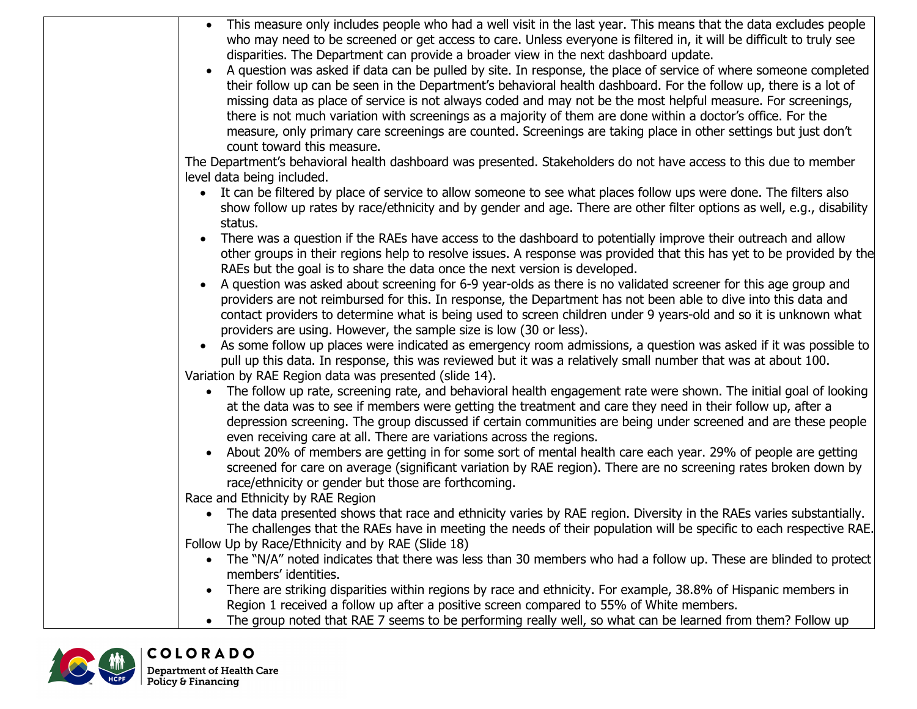| • This measure only includes people who had a well visit in the last year. This means that the data excludes people<br>who may need to be screened or get access to care. Unless everyone is filtered in, it will be difficult to truly see |
|---------------------------------------------------------------------------------------------------------------------------------------------------------------------------------------------------------------------------------------------|
| disparities. The Department can provide a broader view in the next dashboard update.                                                                                                                                                        |
| A question was asked if data can be pulled by site. In response, the place of service of where someone completed<br>$\bullet$                                                                                                               |
| their follow up can be seen in the Department's behavioral health dashboard. For the follow up, there is a lot of                                                                                                                           |
|                                                                                                                                                                                                                                             |
| missing data as place of service is not always coded and may not be the most helpful measure. For screenings,                                                                                                                               |
| there is not much variation with screenings as a majority of them are done within a doctor's office. For the                                                                                                                                |
| measure, only primary care screenings are counted. Screenings are taking place in other settings but just don't<br>count toward this measure.                                                                                               |
| The Department's behavioral health dashboard was presented. Stakeholders do not have access to this due to member                                                                                                                           |
| level data being included.                                                                                                                                                                                                                  |
| It can be filtered by place of service to allow someone to see what places follow ups were done. The filters also                                                                                                                           |
| show follow up rates by race/ethnicity and by gender and age. There are other filter options as well, e.g., disability                                                                                                                      |
| status.                                                                                                                                                                                                                                     |
| There was a question if the RAEs have access to the dashboard to potentially improve their outreach and allow                                                                                                                               |
| other groups in their regions help to resolve issues. A response was provided that this has yet to be provided by the                                                                                                                       |
| RAEs but the goal is to share the data once the next version is developed.                                                                                                                                                                  |
| A question was asked about screening for 6-9 year-olds as there is no validated screener for this age group and                                                                                                                             |
| providers are not reimbursed for this. In response, the Department has not been able to dive into this data and                                                                                                                             |
| contact providers to determine what is being used to screen children under 9 years-old and so it is unknown what                                                                                                                            |
| providers are using. However, the sample size is low (30 or less).                                                                                                                                                                          |
| As some follow up places were indicated as emergency room admissions, a question was asked if it was possible to<br>$\bullet$                                                                                                               |
| pull up this data. In response, this was reviewed but it was a relatively small number that was at about 100.                                                                                                                               |
| Variation by RAE Region data was presented (slide 14).                                                                                                                                                                                      |
| The follow up rate, screening rate, and behavioral health engagement rate were shown. The initial goal of looking                                                                                                                           |
| at the data was to see if members were getting the treatment and care they need in their follow up, after a                                                                                                                                 |
| depression screening. The group discussed if certain communities are being under screened and are these people                                                                                                                              |
| even receiving care at all. There are variations across the regions.                                                                                                                                                                        |
| About 20% of members are getting in for some sort of mental health care each year. 29% of people are getting<br>$\bullet$                                                                                                                   |
| screened for care on average (significant variation by RAE region). There are no screening rates broken down by                                                                                                                             |
| race/ethnicity or gender but those are forthcoming.                                                                                                                                                                                         |
| Race and Ethnicity by RAE Region                                                                                                                                                                                                            |
| The data presented shows that race and ethnicity varies by RAE region. Diversity in the RAEs varies substantially.<br>$\bullet$                                                                                                             |
| The challenges that the RAEs have in meeting the needs of their population will be specific to each respective RAE.                                                                                                                         |
| Follow Up by Race/Ethnicity and by RAE (Slide 18)                                                                                                                                                                                           |
| The "N/A" noted indicates that there was less than 30 members who had a follow up. These are blinded to protect                                                                                                                             |
| members' identities.                                                                                                                                                                                                                        |
| There are striking disparities within regions by race and ethnicity. For example, 38.8% of Hispanic members in<br>$\bullet$                                                                                                                 |
| Region 1 received a follow up after a positive screen compared to 55% of White members.                                                                                                                                                     |
| The group noted that RAE 7 seems to be performing really well, so what can be learned from them? Follow up                                                                                                                                  |
|                                                                                                                                                                                                                                             |

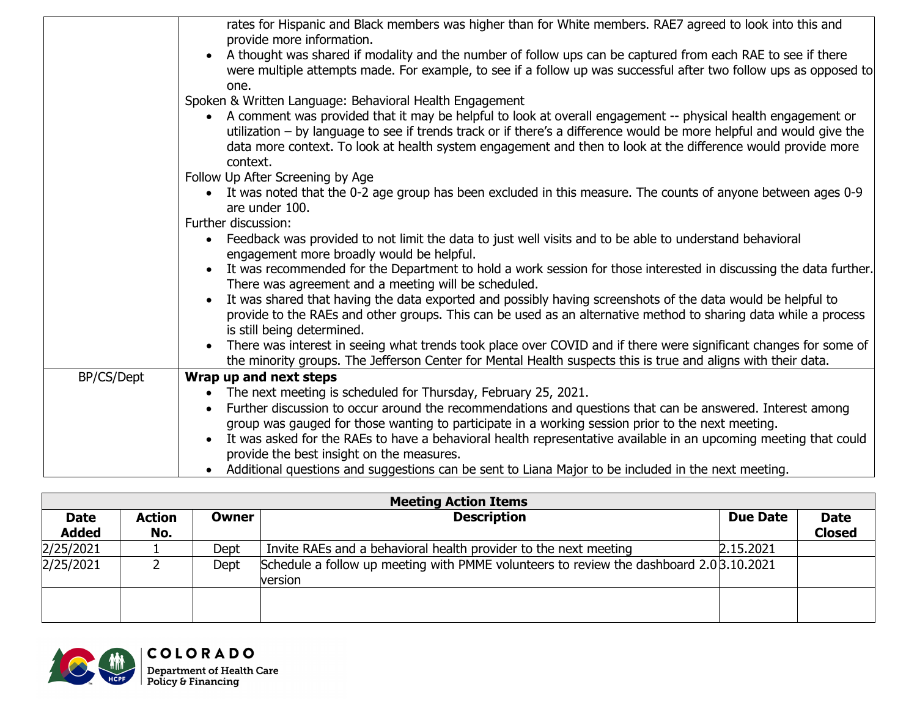|            | rates for Hispanic and Black members was higher than for White members. RAE7 agreed to look into this and<br>provide more information.<br>• A thought was shared if modality and the number of follow ups can be captured from each RAE to see if there<br>were multiple attempts made. For example, to see if a follow up was successful after two follow ups as opposed to |
|------------|------------------------------------------------------------------------------------------------------------------------------------------------------------------------------------------------------------------------------------------------------------------------------------------------------------------------------------------------------------------------------|
|            | one.                                                                                                                                                                                                                                                                                                                                                                         |
|            | Spoken & Written Language: Behavioral Health Engagement                                                                                                                                                                                                                                                                                                                      |
|            | • A comment was provided that it may be helpful to look at overall engagement -- physical health engagement or<br>utilization – by language to see if trends track or if there's a difference would be more helpful and would give the<br>data more context. To look at health system engagement and then to look at the difference would provide more<br>context.           |
|            | Follow Up After Screening by Age                                                                                                                                                                                                                                                                                                                                             |
|            | • It was noted that the 0-2 age group has been excluded in this measure. The counts of anyone between ages 0-9<br>are under 100.                                                                                                                                                                                                                                             |
|            | Further discussion:                                                                                                                                                                                                                                                                                                                                                          |
|            | Feedback was provided to not limit the data to just well visits and to be able to understand behavioral<br>engagement more broadly would be helpful.                                                                                                                                                                                                                         |
|            | It was recommended for the Department to hold a work session for those interested in discussing the data further.<br>There was agreement and a meeting will be scheduled.                                                                                                                                                                                                    |
|            | It was shared that having the data exported and possibly having screenshots of the data would be helpful to<br>provide to the RAEs and other groups. This can be used as an alternative method to sharing data while a process<br>is still being determined.                                                                                                                 |
|            | There was interest in seeing what trends took place over COVID and if there were significant changes for some of<br>the minority groups. The Jefferson Center for Mental Health suspects this is true and aligns with their data.                                                                                                                                            |
| BP/CS/Dept | Wrap up and next steps                                                                                                                                                                                                                                                                                                                                                       |
|            | The next meeting is scheduled for Thursday, February 25, 2021.                                                                                                                                                                                                                                                                                                               |
|            | Further discussion to occur around the recommendations and questions that can be answered. Interest among                                                                                                                                                                                                                                                                    |
|            | group was gauged for those wanting to participate in a working session prior to the next meeting.                                                                                                                                                                                                                                                                            |
|            | It was asked for the RAEs to have a behavioral health representative available in an upcoming meeting that could                                                                                                                                                                                                                                                             |
|            | provide the best insight on the measures.<br>• Additional questions and suggestions can be sent to Liana Major to be included in the next meeting.                                                                                                                                                                                                                           |
|            |                                                                                                                                                                                                                                                                                                                                                                              |

| <b>Meeting Action Items</b> |                      |              |                                                                                                   |                 |                              |
|-----------------------------|----------------------|--------------|---------------------------------------------------------------------------------------------------|-----------------|------------------------------|
| <b>Date</b><br><b>Added</b> | <b>Action</b><br>No. | <b>Owner</b> | <b>Description</b>                                                                                | <b>Due Date</b> | <b>Date</b><br><b>Closed</b> |
| 2/25/2021                   |                      | Dept         | Invite RAEs and a behavioral health provider to the next meeting                                  | 2.15.2021       |                              |
| 2/25/2021                   |                      | Dept         | Schedule a follow up meeting with PMME volunteers to review the dashboard 2.03.10.2021<br>version |                 |                              |
|                             |                      |              |                                                                                                   |                 |                              |